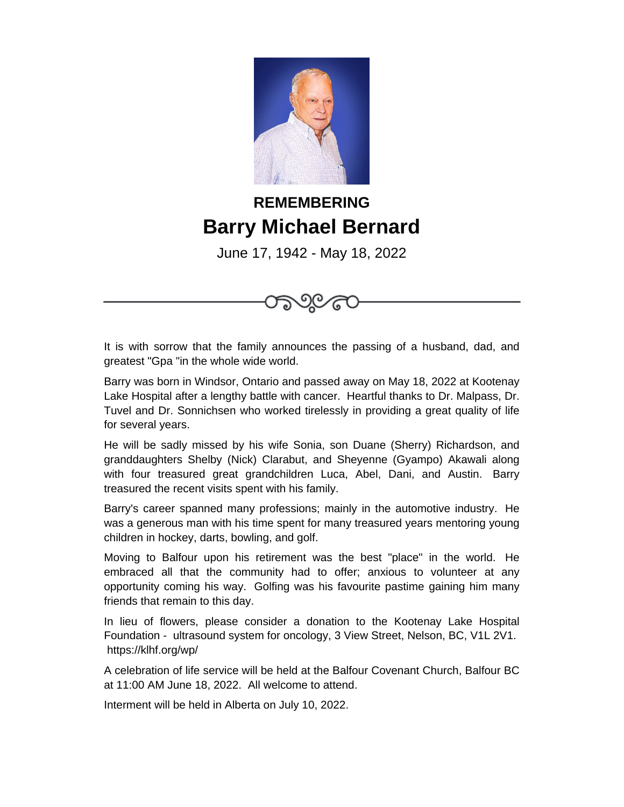

## **REMEMBERING Barry Michael Bernard**

June 17, 1942 - May 18, 2022



90

Barry was born in Windsor, Ontario and passed away on May 18, 2022 at Kootenay Lake Hospital after a lengthy battle with cancer. Heartful thanks to Dr. Malpass, Dr. Tuvel and Dr. Sonnichsen who worked tirelessly in providing a great quality of life for several years.

He will be sadly missed by his wife Sonia, son Duane (Sherry) Richardson, and granddaughters Shelby (Nick) Clarabut, and Sheyenne (Gyampo) Akawali along with four treasured great grandchildren Luca, Abel, Dani, and Austin. Barry treasured the recent visits spent with his family.

Barry's career spanned many professions; mainly in the automotive industry. He was a generous man with his time spent for many treasured years mentoring young children in hockey, darts, bowling, and golf.

Moving to Balfour upon his retirement was the best "place" in the world. He embraced all that the community had to offer; anxious to volunteer at any opportunity coming his way. Golfing was his favourite pastime gaining him many friends that remain to this day.

In lieu of flowers, please consider a donation to the Kootenay Lake Hospital Foundation - ultrasound system for oncology, 3 View Street, Nelson, BC, V1L 2V1. https://klhf.org/wp/

A celebration of life service will be held at the Balfour Covenant Church, Balfour BC at 11:00 AM June 18, 2022. All welcome to attend.

Interment will be held in Alberta on July 10, 2022.